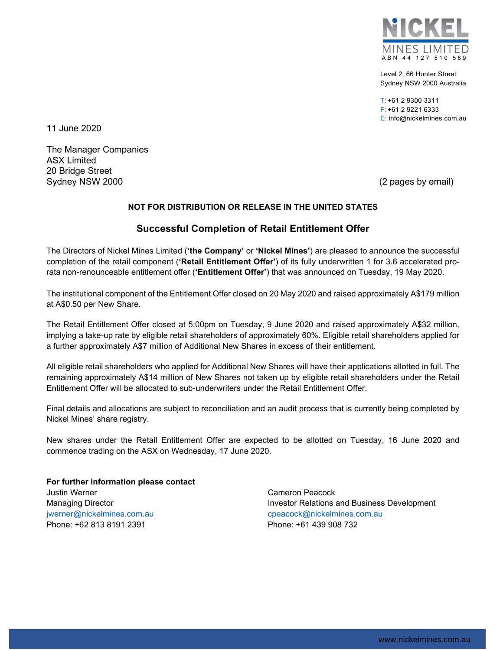

Level 2, 66 Hunter Street Sydney NSW 2000 Australia

T: +61 2 9300 3311 F: +61 2 9221 6333 E: info@nickelmines.com.au

11 June 2020

The Manager Companies ASX Limited 20 Bridge Street Sydney NSW 2000 (2 pages by email)

## NOT FOR DISTRIBUTION OR RELEASE IN THE UNITED STATES

## Successful Completion of Retail Entitlement Offer

The Directors of Nickel Mines Limited ('the Company' or 'Nickel Mines') are pleased to announce the successful completion of the retail component ('Retail Entitlement Offer') of its fully underwritten 1 for 3.6 accelerated prorata non-renounceable entitlement offer ('Entitlement Offer') that was announced on Tuesday, 19 May 2020.

The institutional component of the Entitlement Offer closed on 20 May 2020 and raised approximately A\$179 million at A\$0.50 per New Share.

The Retail Entitlement Offer closed at 5:00pm on Tuesday, 9 June 2020 and raised approximately A\$32 million, implying a take-up rate by eligible retail shareholders of approximately 60%. Eligible retail shareholders applied for a further approximately A\$7 million of Additional New Shares in excess of their entitlement.

All eligible retail shareholders who applied for Additional New Shares will have their applications allotted in full. The remaining approximately A\$14 million of New Shares not taken up by eligible retail shareholders under the Retail Entitlement Offer will be allocated to sub-underwriters under the Retail Entitlement Offer.

Final details and allocations are subject to reconciliation and an audit process that is currently being completed by Nickel Mines' share registry.

New shares under the Retail Entitlement Offer are expected to be allotted on Tuesday, 16 June 2020 and commence trading on the ASX on Wednesday, 17 June 2020.

For further information please contact Justin Werner Managing Director jwerner@nickelmines.com.au Phone: +62 813 8191 2391

Cameron Peacock Investor Relations and Business Development cpeacock@nickelmines.com.au Phone: +61 439 908 732